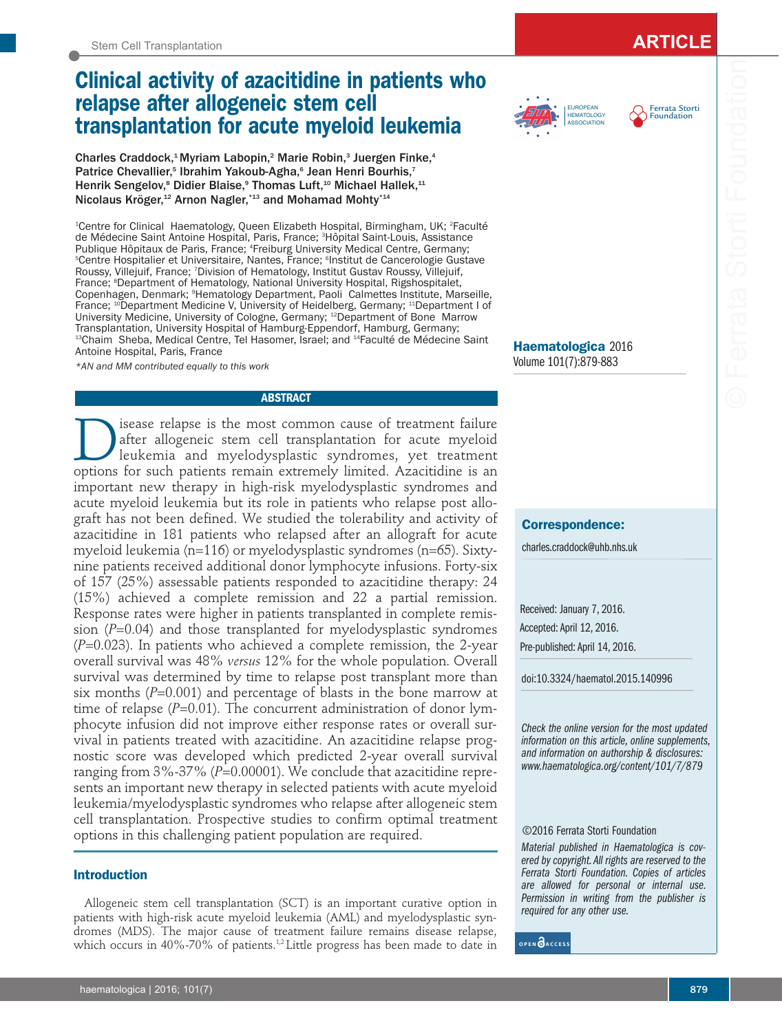# **Clinical activity of azacitidine in patients who relapse after allogeneic stem cell transplantation for acute myeloid leukemia**

Charles Craddock, <sup>1</sup> Myriam Labopin, <sup>2</sup> Marie Robin, <sup>3</sup> Juergen Finke, 4 Patrice Chevallier,<sup>5</sup> Ibrahim Yakoub-Agha,<sup>6</sup> Jean Henri Bourhis,<sup>7</sup> Henrik Sengelov,<sup>8</sup> Didier Blaise,<sup>9</sup> Thomas Luft,<sup>10</sup> Michael Hallek,<sup>11</sup> Nicolaus Kröger,<sup>12</sup> Arnon Nagler,<sup>\*13</sup> and Mohamad Mohty<sup>\*14</sup>

1 Centre for Clinical Haematology, Queen Elizabeth Hospital, Birmingham, UK; <sup>2</sup> Faculté de Médecine Saint Antoine Hospital, Paris, France; <sup>3</sup> Hôpital Saint-Louis, Assistance Publique Hôpitaux de Paris, France; <sup>4</sup> Freiburg University Medical Centre, Germany; 5 Centre Hospitalier et Universitaire, Nantes, France; <sup>6</sup> Institut de Cancerologie Gustave Roussy, Villejuif, France; <sup>7</sup>Division of Hematology, Institut Gustav Roussy, Villejuif, France; <sup>8</sup>Department of Hematology, National University Hospital, Rigshospitalet, Copenhagen, Denmark; <sup>9</sup> Hematology Department, Paoli Calmettes Institute, Marseille, France; <sup>10</sup>Department Medicine V, University of Heidelberg, Germany; <sup>11</sup>Department I of University Medicine, University of Cologne, Germany; <sup>12</sup> Department of Bone Marrow Transplantation, University Hospital of Hamburg-Eppendorf, Hamburg, Germany; <sup>13</sup>Chaim Sheba, Medical Centre, Tel Hasomer, Israel; and <sup>14</sup>Faculté de Médecine Saint Antoine Hospital, Paris, France

*\*AN and MM contributed equally to this work*

**ABSTRACT**

**1988** is the most common cause of treatment failure after allogeneic stem cell transplantation for acute myeloid leukemia and myelodysplastic syndromes, yet treatment options for such patients remain extremely limited. Az after allogeneic stem cell transplantation for acute myeloid leukemia and myelodysplastic syndromes, yet treatment options for such patients remain extremely limited. Azacitidine is an important new therapy in high-risk myelodysplastic syndromes and acute myeloid leukemia but its role in patients who relapse post allograft has not been defined. We studied the tolerability and activity of azacitidine in 181 patients who relapsed after an allograft for acute myeloid leukemia (n=116) or myelodysplastic syndromes (n=65). Sixtynine patients received additional donor lymphocyte infusions. Forty-six of 157 (25%) assessable patients responded to azacitidine therapy: 24 (15%) achieved a complete remission and 22 a partial remission. Response rates were higher in patients transplanted in complete remission (*P*=0.04) and those transplanted for myelodysplastic syndromes (*P*=0.023). In patients who achieved a complete remission, the 2-year overall survival was 48% *versus* 12% for the whole population. Overall survival was determined by time to relapse post transplant more than six months (*P*=0.001) and percentage of blasts in the bone marrow at time of relapse (P=0.01). The concurrent administration of donor lymphocyte infusion did not improve either response rates or overall survival in patients treated with azacitidine. An azacitidine relapse prognostic score was developed which predicted 2-year overall survival ranging from 3%-37% (*P*=0.00001). We conclude that azacitidine represents an important new therapy in selected patients with acute myeloid leukemia/myelodysplastic syndromes who relapse after allogeneic stem cell transplantation. Prospective studies to confirm optimal treatment options in this challenging patient population are required.

# **Introduction**

Allogeneic stem cell transplantation (SCT) is an important curative option in patients with high-risk acute myeloid leukemia (AML) and myelodysplastic syndromes (MDS). The major cause of treatment failure remains disease relapse, which occurs in 40%-70% of patients. 1,2 Little progress has been made to date in





**Haematologica** 2016 Volume 101(7):879-883

# **Correspondence:**

charles.craddock@uhb.nhs.uk

Received: January 7, 2016. Accepted: April 12, 2016. Pre-published: April 14, 2016.

doi:10.3324/haematol.2015.140996

*Check the online version for the most updated information on this article, online supplements, and information on authorship & disclosures: www.haematologica.org/content/101/7/879*

#### ©2016 Ferrata Storti Foundation

*Material published in Haematologica is covered by copyright.All rights are reserved to the Ferrata Storti Foundation. Copies of articles are allowed for personal or internal use. Permission in writing from the publisher is required for any other use.*

OPEN OACCESS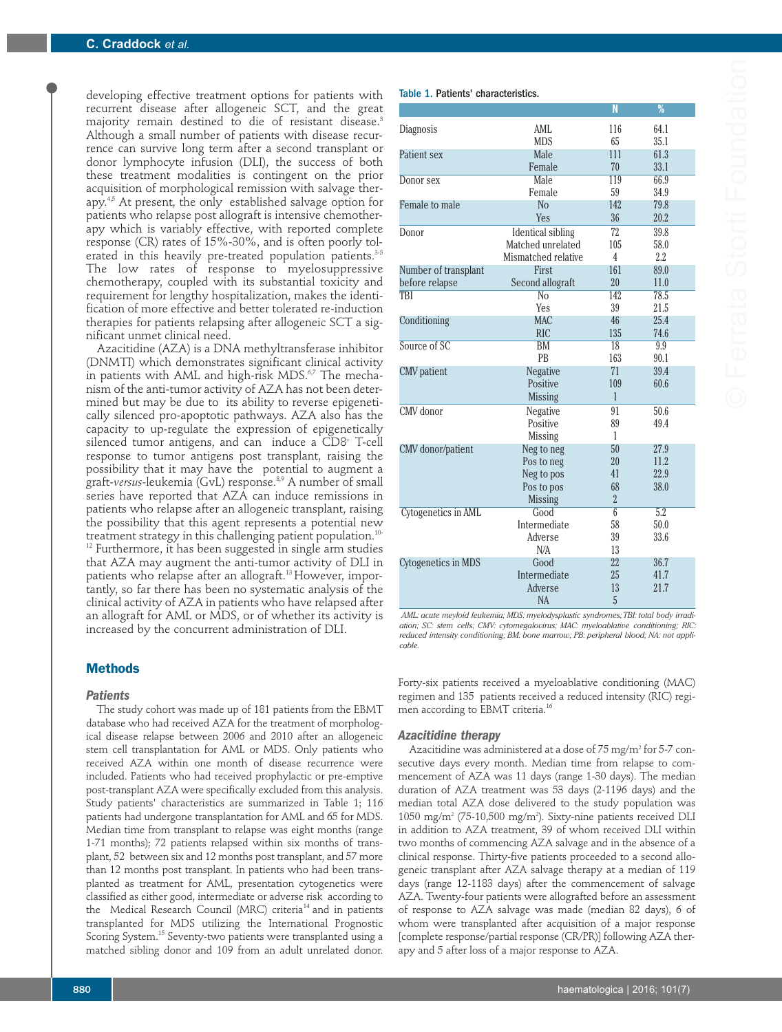developing effective treatment options for patients with recurrent disease after allogeneic SCT, and the great majority remain destined to die of resistant disease. 3 Although a small number of patients with disease recurrence can survive long term after a second transplant or donor lymphocyte infusion (DLI), the success of both these treatment modalities is contingent on the prior acquisition of morphological remission with salvage therapy. 4,5 At present, the only established salvage option for patients who relapse post allograft is intensive chemotherapy which is variably effective, with reported complete response (CR) rates of 15%-30%, and is often poorly tolerated in this heavily pre-treated population patients. 3-5 The low rates of response to myelosuppressive chemotherapy, coupled with its substantial toxicity and requirement for lengthy hospitalization, makes the identification of more effective and better tolerated re-induction therapies for patients relapsing after allogeneic SCT a significant unmet clinical need.

Azacitidine (AZA) is a DNA methyltransferase inhibitor (DNMTI) which demonstrates significant clinical activity in patients with AML and high-risk MDS.<sup>6,7</sup> The mechanism of the anti-tumor activity of AZA has not been determined but may be due to its ability to reverse epigenetically silenced pro-apoptotic pathways. AZA also has the capacity to up-regulate the expression of epigenetically silenced tumor antigens, and can induce a CD8+ T-cell response to tumor antigens post transplant, raising the possibility that it may have the potential to augment a graft-*versus*-leukemia (GvL) response. 8,9 A number of small series have reported that AZA can induce remissions in patients who relapse after an allogeneic transplant, raising the possibility that this agent represents a potential new treatment strategy in this challenging patient population. $^{\rm 10}$ <sup>12</sup> Furthermore, it has been suggested in single arm studies that AZA may augment the anti-tumor activity of DLI in patients who relapse after an allograft. <sup>13</sup> However, importantly, so far there has been no systematic analysis of the clinical activity of AZA in patients who have relapsed after an allograft for AML or MDS, or of whether its activity is increased by the concurrent administration of DLI.

# **Methods**

# *Patients*

The study cohort was made up of 181 patients from the EBMT database who had received AZA for the treatment of morphological disease relapse between 2006 and 2010 after an allogeneic stem cell transplantation for AML or MDS. Only patients who received AZA within one month of disease recurrence were included. Patients who had received prophylactic or pre-emptive post-transplant AZA were specifically excluded from this analysis. Study patients' characteristics are summarized in Table 1; 116 patients had undergone transplantation for AML and 65 for MDS. Median time from transplant to relapse was eight months (range 1-71 months); 72 patients relapsed within six months of transplant, 52 between six and 12 months post transplant, and 57 more than 12 months post transplant. In patients who had been transplanted as treatment for AML, presentation cytogenetics were classified as either good, intermediate or adverse risk according to the Medical Research Council (MRC) criteria<sup>14</sup> and in patients transplanted for MDS utilizing the International Prognostic Scoring System. <sup>15</sup> Seventy-two patients were transplanted using a matched sibling donor and 109 from an adult unrelated donor.

#### Table 1. Patients' characteristics.

|                            |                          | N               | %    |  |
|----------------------------|--------------------------|-----------------|------|--|
| Diagnosis                  | AML                      | 116             | 64.1 |  |
|                            | <b>MDS</b>               | 65              | 35.1 |  |
| Patient sex                | Male                     | 111             | 61.3 |  |
|                            | Female                   | 70              | 33.1 |  |
| Donor sex                  | <b>Male</b>              | 119             | 66.9 |  |
|                            | Female                   | 59              | 34.9 |  |
| Female to male             | N <sub>o</sub>           | 142             | 79.8 |  |
|                            | Yes                      | 36              | 20.2 |  |
| Donor                      | <b>Identical</b> sibling | 72              | 39.8 |  |
|                            | Matched unrelated        | 105             | 58.0 |  |
|                            | Mismatched relative      | $\overline{4}$  | 2.2  |  |
| Number of transplant       | First                    | 161             | 89.0 |  |
| before relapse             | Second allograft         | 20              | 11.0 |  |
| TBI                        | N <sub>0</sub>           | 142             | 78.5 |  |
|                            | <b>Yes</b>               | 39              | 21.5 |  |
| Conditioning               | <b>MAC</b>               | 46              | 25.4 |  |
|                            | <b>RIC</b>               | 135             | 74.6 |  |
| Source of SC               | BM                       | $\overline{18}$ | 9.9  |  |
|                            | PB                       | 163             | 90.1 |  |
| <b>CMV</b> patient         | Negative                 | 71              | 39.4 |  |
|                            | Positive                 | 109             | 60.6 |  |
|                            | Missing                  | 1               |      |  |
| CMV donor                  | Negative                 | 91              | 50.6 |  |
|                            | Positive                 | 89              | 49.4 |  |
|                            | <b>Missing</b>           | 1               |      |  |
| CMV donor/patient          | Neg to neg               | 50              | 27.9 |  |
|                            | Pos to neg               | 20              | 11.2 |  |
|                            | Neg to pos               | 41              | 22.9 |  |
|                            | Pos to pos               | 68              | 38.0 |  |
|                            | Missing                  | $\overline{2}$  |      |  |
| <b>Cytogenetics in AML</b> | Good                     | $\overline{6}$  | 5.2  |  |
|                            | Intermediate             | 58              | 50.0 |  |
|                            | Adverse                  | 39              | 33.6 |  |
|                            | N/A                      | 13              |      |  |
| Cytogenetics in MDS        | Good                     | 22              | 36.7 |  |
|                            | Intermediate             | 25              | 41.7 |  |
|                            | Adverse                  | 13              | 21.7 |  |
|                            | <b>NA</b>                | 5               |      |  |

*AML: acute meyloid leukemia; MDS: myelodysplastic syndromes;TBI: total body irradiation; SC: stem cells; CMV: cytomegalovirus; MAC: myeloablative conditioning; RIC: reduced intensity conditioning; BM: bone marrow; PB: peripheral blood; NA: not applicable.*

Forty-six patients received a myeloablative conditioning (MAC) regimen and 135 patients received a reduced intensity (RIC) regimen according to EBMT criteria. 16

# *Azacitidine therapy*

Azacitidine was administered at a dose of 75 mg/m<sup>2</sup> for 5-7 consecutive days every month. Median time from relapse to commencement of AZA was 11 days (range 1-30 days). The median duration of AZA treatment was 53 days (2-1196 days) and the median total AZA dose delivered to the study population was 1050 mg/m2 (75-10,500 mg/m2 ). Sixty-nine patients received DLI in addition to AZA treatment, 39 of whom received DLI within two months of commencing AZA salvage and in the absence of a clinical response. Thirty-five patients proceeded to a second allogeneic transplant after AZA salvage therapy at a median of 119 days (range 12-1183 days) after the commencement of salvage AZA. Twenty-four patients were allografted before an assessment of response to AZA salvage was made (median 82 days), 6 of whom were transplanted after acquisition of a major response [complete response/partial response (CR/PR)] following AZA therapy and 5 after loss of a major response to AZA.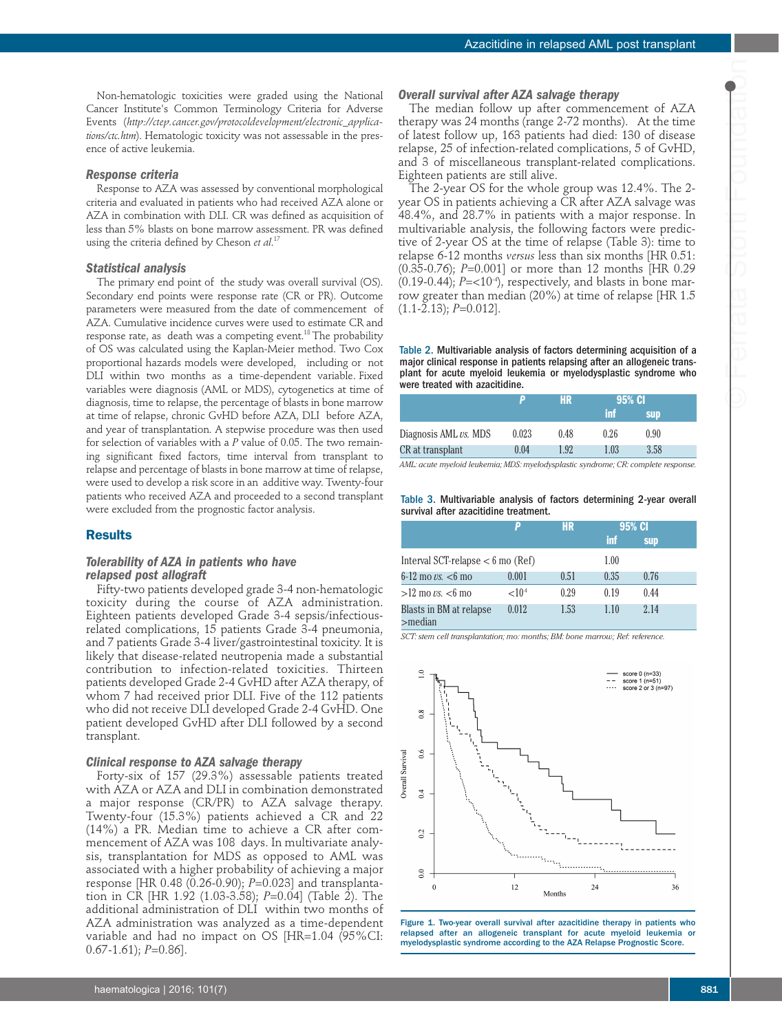Non-hematologic toxicities were graded using the National Cancer Institute's Common Terminology Criteria for Adverse Events (*http://ctep.cancer.gov/protocoldevelopment/electronic\_applications/ctc.htm*). Hematologic toxicity was not assessable in the presence of active leukemia.

#### *Response criteria*

Response to AZA was assessed by conventional morphological criteria and evaluated in patients who had received AZA alone or AZA in combination with DLI. CR was defined as acquisition of less than 5% blasts on bone marrow assessment. PR was defined using the criteria defined by Cheson *et al*. 17

#### *Statistical analysis*

The primary end point of the study was overall survival (OS). Secondary end points were response rate (CR or PR). Outcome parameters were measured from the date of commencement of AZA. Cumulative incidence curves were used to estimate CR and response rate, as death was a competing event.<sup>18</sup> The probability of OS was calculated using the Kaplan-Meier method. Two Cox proportional hazards models were developed, including or not DLI within two months as a time-dependent variable. Fixed variables were diagnosis (AML or MDS), cytogenetics at time of diagnosis, time to relapse, the percentage of blasts in bone marrow at time of relapse, chronic GvHD before AZA, DLI before AZA, and year of transplantation. A stepwise procedure was then used for selection of variables with a *P* value of 0.05. The two remaining significant fixed factors, time interval from transplant to relapse and percentage of blasts in bone marrow at time of relapse, were used to develop a risk score in an additive way. Twenty-four patients who received AZA and proceeded to a second transplant were excluded from the prognostic factor analysis.

## **Results**

## *Tolerability of AZA in patients who have relapsed post allograft*

Fifty-two patients developed grade 3-4 non-hematologic toxicity during the course of AZA administration. Eighteen patients developed Grade 3-4 sepsis/infectiousrelated complications, 15 patients Grade 3-4 pneumonia, and 7 patients Grade 3-4 liver/gastrointestinal toxicity. It is likely that disease-related neutropenia made a substantial contribution to infection-related toxicities. Thirteen patients developed Grade 2-4 GvHD after AZA therapy, of whom 7 had received prior DLI. Five of the 112 patients who did not receive DLI developed Grade 2-4 GvHD. One patient developed GvHD after DLI followed by a second transplant.

#### *Clinical response to AZA salvage therapy*

Forty-six of 157 (29.3%) assessable patients treated with AZA or AZA and DLI in combination demonstrated a major response (CR/PR) to AZA salvage therapy. Twenty-four (15.3%) patients achieved a CR and 22 (14%) a PR. Median time to achieve a CR after commencement of AZA was 108 days. In multivariate analysis, transplantation for MDS as opposed to AML was associated with a higher probability of achieving a major response [HR 0.48 (0.26-0.90); *P*=0.023] and transplantation in CR [HR 1.92 (1.03-3.58); *P*=0.04] (Table 2). The additional administration of DLI within two months of AZA administration was analyzed as a time-dependent variable and had no impact on OS [HR=1.04 (95%CI:  $0.67 - 1.61$ ;  $P = 0.86$ ].

#### *Overall survival after AZA salvage therapy*

The median follow up after commencement of AZA therapy was 24 months (range 2-72 months). At the time of latest follow up, 163 patients had died: 130 of disease relapse, 25 of infection-related complications, 5 of GvHD, and 3 of miscellaneous transplant-related complications. Eighteen patients are still alive.

The 2-year OS for the whole group was 12.4%. The 2 year OS in patients achieving a CR after AZA salvage was 48.4%, and 28.7% in patients with a major response. In multivariable analysis, the following factors were predictive of 2-year OS at the time of relapse (Table 3): time to relapse 6-12 months *versus* less than six months [HR 0.51: (0.35-0.76); *P*=0.001] or more than 12 months [HR 0.29  $(0.19$ -0.44);  $P=<10<sup>-4</sup>$ ), respectively, and blasts in bone marrow greater than median (20%) at time of relapse [HR 1.5 (1.1-2.13); *P*=0.012].

Table 2. Multivariable analysis of factors determining acquisition of a major clinical response in patients relapsing after an allogeneic transplant for acute myeloid leukemia or myelodysplastic syndrome who were treated with azacitidine.

|                       |       | HR   | 95% CI |            |  |
|-----------------------|-------|------|--------|------------|--|
|                       |       |      |        | <b>SUD</b> |  |
| Diagnosis AML vs. MDS | 0.023 | 0.48 | 0.26   | 0.90       |  |
| CR at transplant      | 0.04  | 192  | 1.03   | 3.58       |  |

*AML: acute myeloid leukemia; MDS: myelodysplastic syndrome; CR: complete response.*

Table 3. Multivariable analysis of factors determining 2-year overall survival after azacitidine treatment.

|                                     | p         | НR   | 95% CI |            |  |
|-------------------------------------|-----------|------|--------|------------|--|
|                                     |           |      | inf    | <b>SUD</b> |  |
| Interval SCT-relapse $< 6$ mo (Ref) |           |      | 1.00   |            |  |
| 6-12 mo <i>vs.</i> $\lt$ 6 mo       | 0.001     | 0.51 | 0.35   | 0.76       |  |
| $>12$ mo <i>vs.</i> $< 6$ mo        | ${<}10^4$ | 0.29 | 0.19   | 0.44       |  |
| Blasts in BM at relapse             | 0.012     | 1.53 | 1.10   | 2.14       |  |
| $>$ median                          |           |      |        |            |  |

*SCT: stem cell transplantation; mo: months; BM: bone marrow; Ref: reference.*



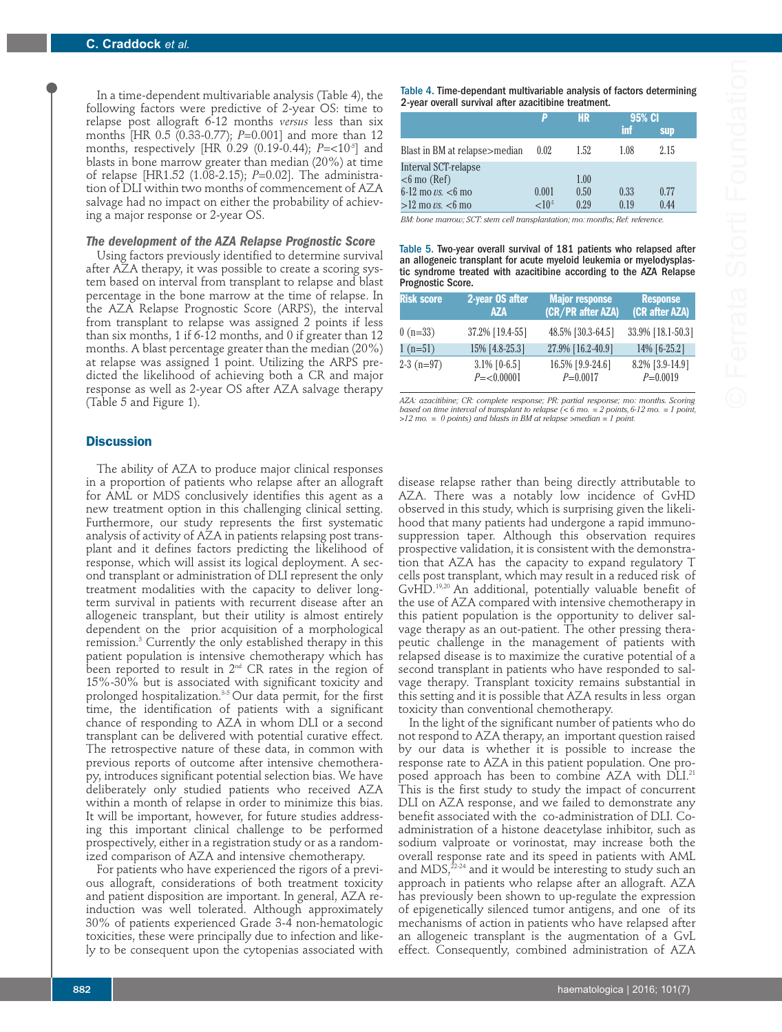In a time-dependent multivariable analysis (Table 4), the following factors were predictive of 2-year OS: time to relapse post allograft 6-12 months *versus* less than six months [HR 0.5 (0.33-0.77); *P*=0.001] and more than 12 months, respectively [HR 0.29 (0.19-0.44); *P=<*10<sup>-</sup>3] and blasts in bone marrow greater than median (20%) at time of relapse [HR1.52 (1.08-2.15); *P*=0.02]. The administration of DLI within two months of commencement of AZA salvage had no impact on either the probability of achieving a major response or 2-year OS.

## *The development of the AZA Relapse Prognostic Score*

Using factors previously identified to determine survival after AZA therapy, it was possible to create a scoring system based on interval from transplant to relapse and blast percentage in the bone marrow at the time of relapse. In the AZA Relapse Prognostic Score (ARPS), the interval from transplant to relapse was assigned 2 points if less than six months, 1 if 6-12 months, and 0 if greater than 12 months. A blast percentage greater than the median (20%) at relapse was assigned 1 point. Utilizing the ARPS predicted the likelihood of achieving both a CR and major response as well as 2-year OS after AZA salvage therapy (Table 5 and Figure 1).

## **Discussion**

The ability of AZA to produce major clinical responses in a proportion of patients who relapse after an allograft for AML or MDS conclusively identifies this agent as a new treatment option in this challenging clinical setting. Furthermore, our study represents the first systematic analysis of activity of AZA in patients relapsing post transplant and it defines factors predicting the likelihood of response, which will assist its logical deployment. A second transplant or administration of DLI represent the only treatment modalities with the capacity to deliver longterm survival in patients with recurrent disease after an allogeneic transplant, but their utility is almost entirely dependent on the prior acquisition of a morphological remission. <sup>3</sup> Currently the only established therapy in this patient population is intensive chemotherapy which has been reported to result in 2<sup>nd</sup> CR rates in the region of 15%-30% but is associated with significant toxicity and prolonged hospitalization. 3-5 Our data permit, for the first time, the identification of patients with a significant chance of responding to AZA in whom DLI or a second transplant can be delivered with potential curative effect. The retrospective nature of these data, in common with previous reports of outcome after intensive chemotherapy, introduces significant potential selection bias. We have deliberately only studied patients who received AZA within a month of relapse in order to minimize this bias. It will be important, however, for future studies addressing this important clinical challenge to be performed prospectively, either in a registration study or as a randomized comparison of AZA and intensive chemotherapy.

For patients who have experienced the rigors of a previous allograft, considerations of both treatment toxicity and patient disposition are important. In general, AZA reinduction was well tolerated. Although approximately 30% of patients experienced Grade 3-4 non-hematologic toxicities, these were principally due to infection and likely to be consequent upon the cytopenias associated with

Table 4. Time-dependant multivariable analysis of factors determining 2-year overall survival after azacitibine treatment.

|                               | p            | <b>HR</b> | 95% CI     |            |  |
|-------------------------------|--------------|-----------|------------|------------|--|
|                               |              |           | <b>inf</b> | <b>SUD</b> |  |
| Blast in BM at relapse>median | 0.02         | 1.52      | 1.08       | 2.15       |  |
| Interval SCT-relapse          |              |           |            |            |  |
| $<$ 6 mo (Ref)                |              | 1.00      |            |            |  |
| 6-12 mo <i>vs.</i> $\lt$ 6 mo | 0.001        | 0.50      | 0.33       | 0.77       |  |
| $>12$ mo vs. $< 6$ mo         | ${<}10^{-5}$ | 0.29      | 0.19       | 0.44       |  |

*BM: bone marrow; SCT: stem cell transplantation; mo: months; Ref: reference.*

Table 5. Two-year overall survival of 181 patients who relapsed after<br>an allogeneic transplant for acute myeloid leukemia or myelodysplastic syndrome treated with azacitibine according to the AZA Relapse Prognostic Score.

| <b>Risk score</b> | 2-year OS after | <b>Major response</b> | <b>Response</b>   |
|-------------------|-----------------|-----------------------|-------------------|
|                   | <b>AZA</b>      | (CR/PR after AZA)     | (CR after AZA)    |
| $0(n=33)$         | 37.2% [19.4-55] | 48.5% [30.3-64.5]     | 33.9% [18.1-50.3] |
| $1(n=51)$         | 15% [4.8-25.3]  | 27.9% [16.2-40.9]     | 14% [6-25.2]      |
| $2-3(n=97)$       | $3.1\%$ [0-6.5] | 16.5% [9.9-24.6]      | 8.2% [3.9-14.9]   |
|                   | $P = 0.00001$   | $P = 0.0017$          | $P = 0.0019$      |

AZA: azacitibine; CR: complete response; PR: partial response; mo: months. Scoring<br>based on time interval of transplant to relapse (< 6 mo. = 2 points, 6-12 mo. = 1 point, *>12 mo. = 0 points) and blasts in BM at relapse >median = 1 point.*

disease relapse rather than being directly attributable to AZA. There was a notably low incidence of GvHD observed in this study, which is surprising given the likelihood that many patients had undergone a rapid immunosuppression taper. Although this observation requires prospective validation, it is consistent with the demonstration that AZA has the capacity to expand regulatory T cells post transplant, which may result in a reduced risk of GvHD. 19,20 An additional, potentially valuable benefit of the use of AZA compared with intensive chemotherapy in this patient population is the opportunity to deliver salvage therapy as an out-patient. The other pressing therapeutic challenge in the management of patients with relapsed disease is to maximize the curative potential of a second transplant in patients who have responded to salvage therapy. Transplant toxicity remains substantial in this setting and it is possible that AZA results in less organ toxicity than conventional chemotherapy.

In the light of the significant number of patients who do not respond to AZA therapy, an important question raised by our data is whether it is possible to increase the response rate to AZA in this patient population. One proposed approach has been to combine AZA with DLI. 21 This is the first study to study the impact of concurrent DLI on AZA response, and we failed to demonstrate any benefit associated with the co-administration of DLI. Coadministration of a histone deacetylase inhibitor, such as sodium valproate or vorinostat, may increase both the overall response rate and its speed in patients with AML and MDS, 22-24 and it would be interesting to study such an approach in patients who relapse after an allograft. AZA has previously been shown to up-regulate the expression of epigenetically silenced tumor antigens, and one of its mechanisms of action in patients who have relapsed after an allogeneic transplant is the augmentation of a GvL effect. Consequently, combined administration of AZA